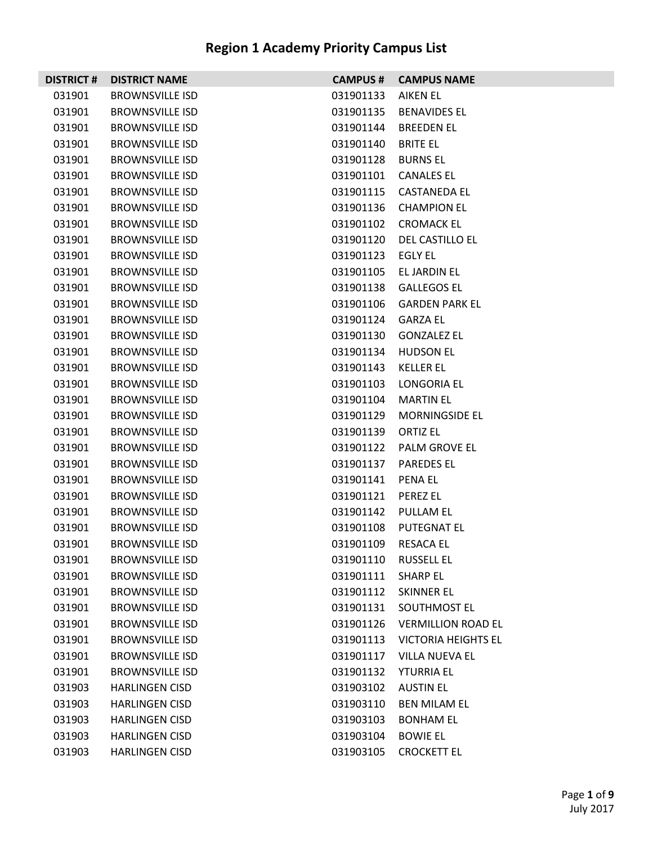| <b>DISTRICT#</b> | <b>DISTRICT NAME</b>   | <b>CAMPUS #</b> | <b>CAMPUS NAME</b>         |
|------------------|------------------------|-----------------|----------------------------|
| 031901           | <b>BROWNSVILLE ISD</b> | 031901133       | AIKEN EL                   |
| 031901           | <b>BROWNSVILLE ISD</b> | 031901135       | <b>BENAVIDES EL</b>        |
| 031901           | <b>BROWNSVILLE ISD</b> | 031901144       | <b>BREEDEN EL</b>          |
| 031901           | <b>BROWNSVILLE ISD</b> | 031901140       | <b>BRITE EL</b>            |
| 031901           | <b>BROWNSVILLE ISD</b> | 031901128       | <b>BURNS EL</b>            |
| 031901           | <b>BROWNSVILLE ISD</b> | 031901101       | <b>CANALES EL</b>          |
| 031901           | <b>BROWNSVILLE ISD</b> | 031901115       | CASTANEDA EL               |
| 031901           | <b>BROWNSVILLE ISD</b> | 031901136       | <b>CHAMPION EL</b>         |
| 031901           | <b>BROWNSVILLE ISD</b> |                 | 031901102 CROMACK EL       |
| 031901           | <b>BROWNSVILLE ISD</b> | 031901120       | DEL CASTILLO EL            |
| 031901           | <b>BROWNSVILLE ISD</b> | 031901123       | EGLY EL                    |
| 031901           | <b>BROWNSVILLE ISD</b> | 031901105       | EL JARDIN EL               |
| 031901           | <b>BROWNSVILLE ISD</b> |                 | 031901138 GALLEGOS EL      |
| 031901           | <b>BROWNSVILLE ISD</b> | 031901106       | <b>GARDEN PARK EL</b>      |
| 031901           | <b>BROWNSVILLE ISD</b> | 031901124       | GARZA EL                   |
| 031901           | <b>BROWNSVILLE ISD</b> | 031901130       | <b>GONZALEZ EL</b>         |
| 031901           | <b>BROWNSVILLE ISD</b> | 031901134       | HUDSON EL                  |
| 031901           | <b>BROWNSVILLE ISD</b> | 031901143       | <b>KELLER EL</b>           |
| 031901           | <b>BROWNSVILLE ISD</b> | 031901103       | LONGORIA EL                |
| 031901           | <b>BROWNSVILLE ISD</b> | 031901104       | MARTIN EL                  |
| 031901           | <b>BROWNSVILLE ISD</b> | 031901129       | <b>MORNINGSIDE EL</b>      |
| 031901           | <b>BROWNSVILLE ISD</b> | 031901139       | <b>ORTIZ EL</b>            |
| 031901           | <b>BROWNSVILLE ISD</b> | 031901122       | PALM GROVE EL              |
| 031901           | <b>BROWNSVILLE ISD</b> | 031901137       | <b>PAREDES EL</b>          |
| 031901           | <b>BROWNSVILLE ISD</b> | 031901141       | PENA EL                    |
| 031901           | <b>BROWNSVILLE ISD</b> | 031901121       | <b>PEREZ EL</b>            |
| 031901           | <b>BROWNSVILLE ISD</b> | 031901142       | PULLAM EL                  |
| 031901           | <b>BROWNSVILLE ISD</b> | 031901108       | <b>PUTEGNAT EL</b>         |
| 031901           | <b>BROWNSVILLE ISD</b> | 031901109       | <b>RESACA EL</b>           |
| 031901           | <b>BROWNSVILLE ISD</b> | 031901110       | <b>RUSSELL EL</b>          |
| 031901           | <b>BROWNSVILLE ISD</b> | 031901111       | <b>SHARP EL</b>            |
| 031901           | <b>BROWNSVILLE ISD</b> | 031901112       | <b>SKINNER EL</b>          |
| 031901           | <b>BROWNSVILLE ISD</b> | 031901131       | SOUTHMOST EL               |
| 031901           | <b>BROWNSVILLE ISD</b> | 031901126       | <b>VERMILLION ROAD EL</b>  |
| 031901           | <b>BROWNSVILLE ISD</b> | 031901113       | <b>VICTORIA HEIGHTS EL</b> |
| 031901           | <b>BROWNSVILLE ISD</b> | 031901117       | <b>VILLA NUEVA EL</b>      |
| 031901           | <b>BROWNSVILLE ISD</b> | 031901132       | <b>YTURRIA EL</b>          |
| 031903           | <b>HARLINGEN CISD</b>  | 031903102       | <b>AUSTIN EL</b>           |
| 031903           | <b>HARLINGEN CISD</b>  | 031903110       | <b>BEN MILAM EL</b>        |
| 031903           | <b>HARLINGEN CISD</b>  | 031903103       | <b>BONHAM EL</b>           |
| 031903           | <b>HARLINGEN CISD</b>  | 031903104       | <b>BOWIE EL</b>            |
| 031903           | <b>HARLINGEN CISD</b>  | 031903105       | <b>CROCKETT EL</b>         |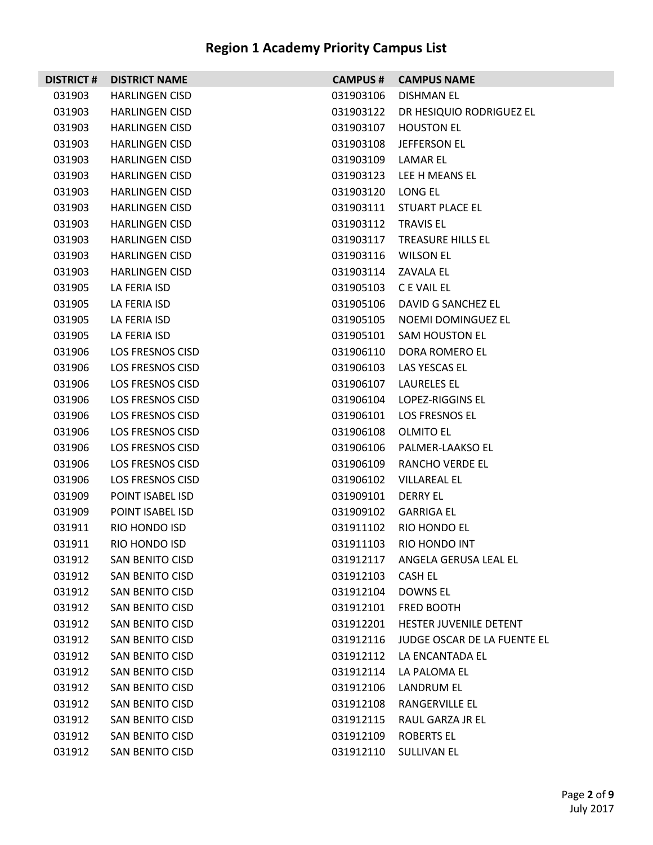| <b>DISTRICT #</b> | <b>DISTRICT NAME</b>    | <b>CAMPUS#</b> | <b>CAMPUS NAME</b>              |
|-------------------|-------------------------|----------------|---------------------------------|
| 031903            | <b>HARLINGEN CISD</b>   | 031903106      | <b>DISHMAN EL</b>               |
| 031903            | <b>HARLINGEN CISD</b>   | 031903122      | DR HESIQUIO RODRIGUEZ EL        |
| 031903            | <b>HARLINGEN CISD</b>   | 031903107      | <b>HOUSTON EL</b>               |
| 031903            | <b>HARLINGEN CISD</b>   | 031903108      | JEFFERSON EL                    |
| 031903            | <b>HARLINGEN CISD</b>   | 031903109      | LAMAR EL                        |
| 031903            | <b>HARLINGEN CISD</b>   | 031903123      | LEE H MEANS EL                  |
| 031903            | <b>HARLINGEN CISD</b>   | 031903120      | LONG EL                         |
| 031903            | <b>HARLINGEN CISD</b>   | 031903111      | STUART PLACE EL                 |
| 031903            | <b>HARLINGEN CISD</b>   | 031903112      | <b>TRAVIS EL</b>                |
| 031903            | <b>HARLINGEN CISD</b>   | 031903117      | TREASURE HILLS EL               |
| 031903            | <b>HARLINGEN CISD</b>   | 031903116      | <b>WILSON EL</b>                |
| 031903            | <b>HARLINGEN CISD</b>   | 031903114      | ZAVALA EL                       |
| 031905            | LA FERIA ISD            | 031905103      | C E VAIL EL                     |
| 031905            | LA FERIA ISD            | 031905106      | DAVID G SANCHEZ EL              |
| 031905            | LA FERIA ISD            | 031905105      | NOEMI DOMINGUEZ EL              |
| 031905            | LA FERIA ISD            | 031905101      | <b>SAM HOUSTON EL</b>           |
| 031906            | <b>LOS FRESNOS CISD</b> | 031906110      | DORA ROMERO EL                  |
| 031906            | LOS FRESNOS CISD        | 031906103      | LAS YESCAS EL                   |
| 031906            | LOS FRESNOS CISD        | 031906107      | LAURELES EL                     |
| 031906            | LOS FRESNOS CISD        | 031906104      | LOPEZ-RIGGINS EL                |
| 031906            | LOS FRESNOS CISD        | 031906101      | LOS FRESNOS EL                  |
| 031906            | LOS FRESNOS CISD        | 031906108      | OLMITO EL                       |
| 031906            | LOS FRESNOS CISD        | 031906106      | PALMER-LAAKSO EL                |
| 031906            | LOS FRESNOS CISD        | 031906109      | <b>RANCHO VERDE EL</b>          |
| 031906            | LOS FRESNOS CISD        | 031906102      | <b>VILLAREAL EL</b>             |
| 031909            | POINT ISABEL ISD        | 031909101      | DERRY EL                        |
| 031909            | POINT ISABEL ISD        | 031909102      | <b>GARRIGA EL</b>               |
| 031911            | RIO HONDO ISD           | 031911102      | RIO HONDO EL                    |
| 031911            | RIO HONDO ISD           | 031911103      | RIO HONDO INT                   |
| 031912            | SAN BENITO CISD         |                | 031912117 ANGELA GERUSA LEAL EL |
| 031912            | <b>SAN BENITO CISD</b>  | 031912103      | CASH EL                         |
| 031912            | <b>SAN BENITO CISD</b>  | 031912104      | DOWNS EL                        |
| 031912            | <b>SAN BENITO CISD</b>  | 031912101      | FRED BOOTH                      |
| 031912            | <b>SAN BENITO CISD</b>  | 031912201      | HESTER JUVENILE DETENT          |
| 031912            | SAN BENITO CISD         | 031912116      | JUDGE OSCAR DE LA FUENTE EL     |
| 031912            | <b>SAN BENITO CISD</b>  | 031912112      | LA ENCANTADA EL                 |
| 031912            | <b>SAN BENITO CISD</b>  | 031912114      | LA PALOMA EL                    |
| 031912            | <b>SAN BENITO CISD</b>  | 031912106      | LANDRUM EL                      |
| 031912            | SAN BENITO CISD         | 031912108      | RANGERVILLE EL                  |
| 031912            | <b>SAN BENITO CISD</b>  | 031912115      | RAUL GARZA JR EL                |
| 031912            | <b>SAN BENITO CISD</b>  | 031912109      | <b>ROBERTS EL</b>               |
| 031912            | SAN BENITO CISD         |                | 031912110 SULLIVAN EL           |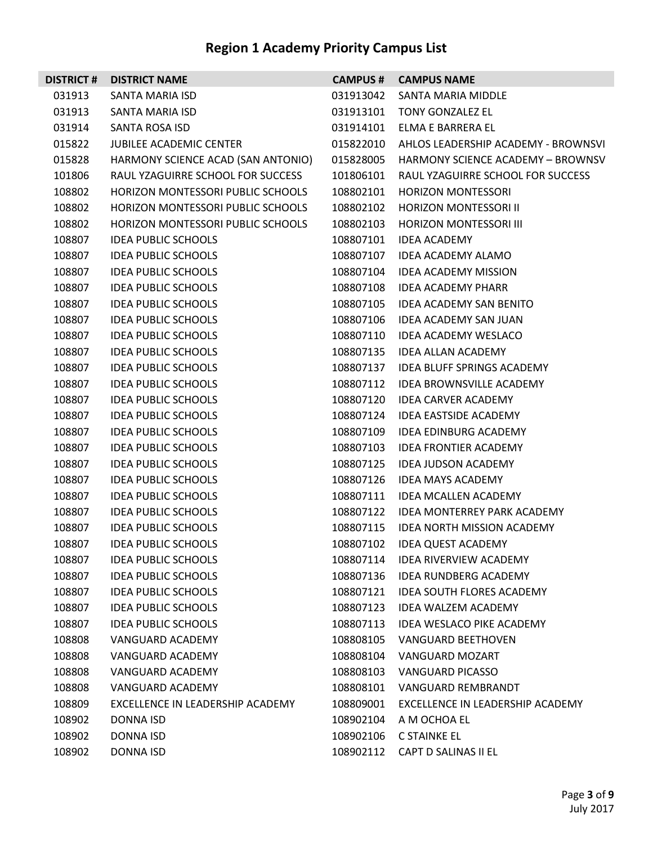| <b>DISTRICT#</b> | <b>DISTRICT NAME</b>               | <b>CAMPUS#</b> | <b>CAMPUS NAME</b>                  |
|------------------|------------------------------------|----------------|-------------------------------------|
| 031913           | SANTA MARIA ISD                    | 031913042      | SANTA MARIA MIDDLE                  |
| 031913           | SANTA MARIA ISD                    | 031913101      | TONY GONZALEZ EL                    |
| 031914           | SANTA ROSA ISD                     | 031914101      | ELMA E BARRERA EL                   |
| 015822           | JUBILEE ACADEMIC CENTER            | 015822010      | AHLOS LEADERSHIP ACADEMY - BROWNSVI |
| 015828           | HARMONY SCIENCE ACAD (SAN ANTONIO) | 015828005      | HARMONY SCIENCE ACADEMY - BROWNSV   |
| 101806           | RAUL YZAGUIRRE SCHOOL FOR SUCCESS  | 101806101      | RAUL YZAGUIRRE SCHOOL FOR SUCCESS   |
| 108802           | HORIZON MONTESSORI PUBLIC SCHOOLS  | 108802101      | <b>HORIZON MONTESSORI</b>           |
| 108802           | HORIZON MONTESSORI PUBLIC SCHOOLS  | 108802102      | <b>HORIZON MONTESSORI II</b>        |
| 108802           | HORIZON MONTESSORI PUBLIC SCHOOLS  | 108802103      | HORIZON MONTESSORI III              |
| 108807           | <b>IDEA PUBLIC SCHOOLS</b>         | 108807101      | <b>IDEA ACADEMY</b>                 |
| 108807           | <b>IDEA PUBLIC SCHOOLS</b>         | 108807107      | <b>IDEA ACADEMY ALAMO</b>           |
| 108807           | <b>IDEA PUBLIC SCHOOLS</b>         | 108807104      | <b>IDEA ACADEMY MISSION</b>         |
| 108807           | <b>IDEA PUBLIC SCHOOLS</b>         | 108807108      | <b>IDEA ACADEMY PHARR</b>           |
| 108807           | <b>IDEA PUBLIC SCHOOLS</b>         | 108807105      | <b>IDEA ACADEMY SAN BENITO</b>      |
| 108807           | <b>IDEA PUBLIC SCHOOLS</b>         | 108807106      | <b>IDEA ACADEMY SAN JUAN</b>        |
| 108807           | <b>IDEA PUBLIC SCHOOLS</b>         | 108807110      | <b>IDEA ACADEMY WESLACO</b>         |
| 108807           | <b>IDEA PUBLIC SCHOOLS</b>         | 108807135      | <b>IDEA ALLAN ACADEMY</b>           |
| 108807           | <b>IDEA PUBLIC SCHOOLS</b>         | 108807137      | <b>IDEA BLUFF SPRINGS ACADEMY</b>   |
| 108807           | <b>IDEA PUBLIC SCHOOLS</b>         | 108807112      | IDEA BROWNSVILLE ACADEMY            |
| 108807           | <b>IDEA PUBLIC SCHOOLS</b>         | 108807120      | <b>IDEA CARVER ACADEMY</b>          |
| 108807           | <b>IDEA PUBLIC SCHOOLS</b>         | 108807124      | <b>IDEA EASTSIDE ACADEMY</b>        |
| 108807           | <b>IDEA PUBLIC SCHOOLS</b>         | 108807109      | <b>IDEA EDINBURG ACADEMY</b>        |
| 108807           | <b>IDEA PUBLIC SCHOOLS</b>         | 108807103      | <b>IDEA FRONTIER ACADEMY</b>        |
| 108807           | <b>IDEA PUBLIC SCHOOLS</b>         | 108807125      | <b>IDEA JUDSON ACADEMY</b>          |
| 108807           | <b>IDEA PUBLIC SCHOOLS</b>         | 108807126      | <b>IDEA MAYS ACADEMY</b>            |
| 108807           | <b>IDEA PUBLIC SCHOOLS</b>         | 108807111      | <b>IDEA MCALLEN ACADEMY</b>         |
| 108807           | <b>IDEA PUBLIC SCHOOLS</b>         | 108807122      | <b>IDEA MONTERREY PARK ACADEMY</b>  |
| 108807           | <b>IDEA PUBLIC SCHOOLS</b>         | 108807115      | <b>IDEA NORTH MISSION ACADEMY</b>   |
| 108807           | <b>IDEA PUBLIC SCHOOLS</b>         | 108807102      | <b>IDEA QUEST ACADEMY</b>           |
| 108807           | <b>IDEA PUBLIC SCHOOLS</b>         | 108807114      | <b>IDEA RIVERVIEW ACADEMY</b>       |
| 108807           | <b>IDEA PUBLIC SCHOOLS</b>         | 108807136      | <b>IDEA RUNDBERG ACADEMY</b>        |
| 108807           | <b>IDEA PUBLIC SCHOOLS</b>         | 108807121      | <b>IDEA SOUTH FLORES ACADEMY</b>    |
| 108807           | <b>IDEA PUBLIC SCHOOLS</b>         | 108807123      | <b>IDEA WALZEM ACADEMY</b>          |
| 108807           | <b>IDEA PUBLIC SCHOOLS</b>         | 108807113      | <b>IDEA WESLACO PIKE ACADEMY</b>    |
| 108808           | VANGUARD ACADEMY                   | 108808105      | <b>VANGUARD BEETHOVEN</b>           |
| 108808           | VANGUARD ACADEMY                   | 108808104      | VANGUARD MOZART                     |
| 108808           | VANGUARD ACADEMY                   | 108808103      | VANGUARD PICASSO                    |
| 108808           | VANGUARD ACADEMY                   | 108808101      | <b>VANGUARD REMBRANDT</b>           |
| 108809           | EXCELLENCE IN LEADERSHIP ACADEMY   | 108809001      | EXCELLENCE IN LEADERSHIP ACADEMY    |
| 108902           | DONNA ISD                          | 108902104      | A M OCHOA EL                        |
| 108902           | DONNA ISD                          | 108902106      | C STAINKE EL                        |
| 108902           | DONNA ISD                          | 108902112      | CAPT D SALINAS II EL                |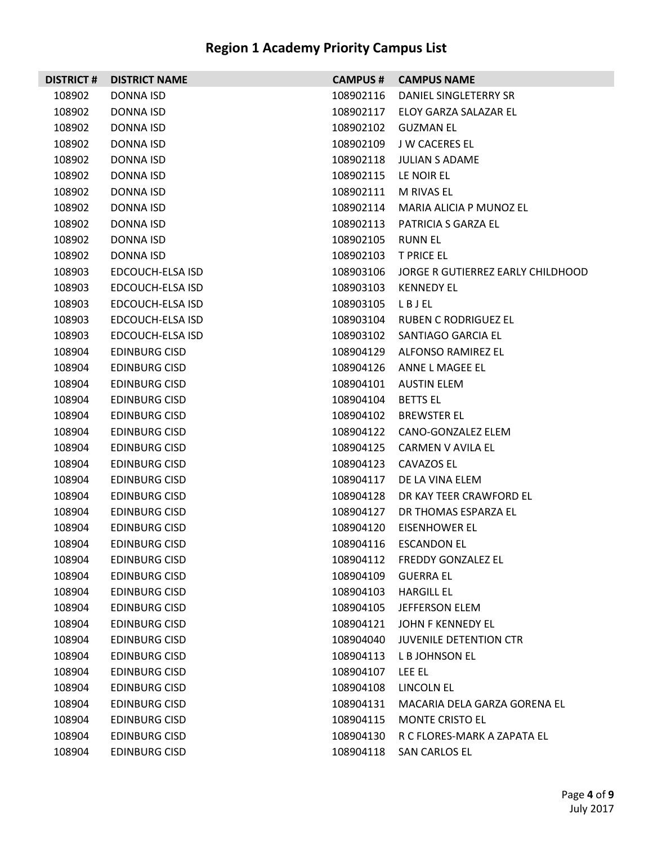| <b>DISTRICT#</b> | <b>DISTRICT NAME</b> | <b>CAMPUS#</b> | <b>CAMPUS NAME</b>                |
|------------------|----------------------|----------------|-----------------------------------|
| 108902           | DONNA ISD            | 108902116      | DANIEL SINGLETERRY SR             |
| 108902           | DONNA ISD            | 108902117      | ELOY GARZA SALAZAR EL             |
| 108902           | DONNA ISD            | 108902102      | <b>GUZMAN EL</b>                  |
| 108902           | DONNA ISD            | 108902109      | J W CACERES EL                    |
| 108902           | DONNA ISD            | 108902118      | <b>JULIAN S ADAME</b>             |
| 108902           | <b>DONNA ISD</b>     | 108902115      | LE NOIR EL                        |
| 108902           | DONNA ISD            | 108902111      | M RIVAS EL                        |
| 108902           | DONNA ISD            | 108902114      | MARIA ALICIA P MUNOZ EL           |
| 108902           | DONNA ISD            | 108902113      | PATRICIA S GARZA EL               |
| 108902           | DONNA ISD            | 108902105      | <b>RUNN EL</b>                    |
| 108902           | DONNA ISD            | 108902103      | <b>T PRICE EL</b>                 |
| 108903           | EDCOUCH-ELSA ISD     | 108903106      | JORGE R GUTIERREZ EARLY CHILDHOOD |
| 108903           | EDCOUCH-ELSA ISD     | 108903103      | <b>KENNEDY EL</b>                 |
| 108903           | EDCOUCH-ELSA ISD     | 108903105      | LBJEL                             |
| 108903           | EDCOUCH-ELSA ISD     | 108903104      | RUBEN C RODRIGUEZ EL              |
| 108903           | EDCOUCH-ELSA ISD     | 108903102      | SANTIAGO GARCIA EL                |
| 108904           | <b>EDINBURG CISD</b> | 108904129      | ALFONSO RAMIREZ EL                |
| 108904           | <b>EDINBURG CISD</b> | 108904126      | ANNE L MAGEE EL                   |
| 108904           | <b>EDINBURG CISD</b> | 108904101      | <b>AUSTIN ELEM</b>                |
| 108904           | <b>EDINBURG CISD</b> | 108904104      | <b>BETTS EL</b>                   |
| 108904           | <b>EDINBURG CISD</b> | 108904102      | <b>BREWSTER EL</b>                |
| 108904           | <b>EDINBURG CISD</b> | 108904122      | CANO-GONZALEZ ELEM                |
| 108904           | <b>EDINBURG CISD</b> | 108904125      | CARMEN V AVILA EL                 |
| 108904           | <b>EDINBURG CISD</b> | 108904123      | CAVAZOS EL                        |
| 108904           | <b>EDINBURG CISD</b> | 108904117      | DE LA VINA ELEM                   |
| 108904           | <b>EDINBURG CISD</b> | 108904128      | DR KAY TEER CRAWFORD EL           |
| 108904           | <b>EDINBURG CISD</b> | 108904127      | DR THOMAS ESPARZA EL              |
| 108904           | <b>EDINBURG CISD</b> | 108904120      | <b>EISENHOWER EL</b>              |
| 108904           | <b>EDINBURG CISD</b> |                | 108904116 ESCANDON EL             |
| 108904           | <b>EDINBURG CISD</b> | 108904112      | <b>FREDDY GONZALEZ EL</b>         |
| 108904           | <b>EDINBURG CISD</b> | 108904109      | <b>GUERRA EL</b>                  |
| 108904           | <b>EDINBURG CISD</b> | 108904103      | <b>HARGILL EL</b>                 |
| 108904           | <b>EDINBURG CISD</b> | 108904105      | <b>JEFFERSON ELEM</b>             |
| 108904           | <b>EDINBURG CISD</b> | 108904121      | JOHN F KENNEDY EL                 |
| 108904           | <b>EDINBURG CISD</b> | 108904040      | <b>JUVENILE DETENTION CTR</b>     |
| 108904           | <b>EDINBURG CISD</b> | 108904113      | L B JOHNSON EL                    |
| 108904           | <b>EDINBURG CISD</b> | 108904107      | LEE EL                            |
| 108904           | <b>EDINBURG CISD</b> | 108904108      | LINCOLN EL                        |
| 108904           | <b>EDINBURG CISD</b> | 108904131      | MACARIA DELA GARZA GORENA EL      |
| 108904           | <b>EDINBURG CISD</b> | 108904115      | <b>MONTE CRISTO EL</b>            |
| 108904           | <b>EDINBURG CISD</b> | 108904130      | R C FLORES-MARK A ZAPATA EL       |
| 108904           | <b>EDINBURG CISD</b> | 108904118      | SAN CARLOS EL                     |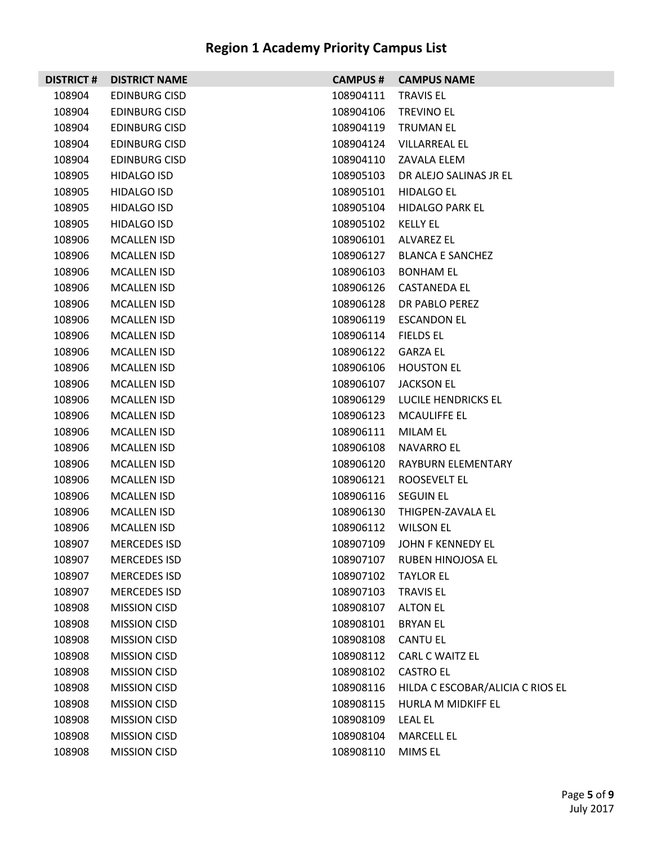| <b>DISTRICT#</b> | <b>DISTRICT NAME</b> | <b>CAMPUS#</b> | <b>CAMPUS NAME</b>               |
|------------------|----------------------|----------------|----------------------------------|
| 108904           | <b>EDINBURG CISD</b> | 108904111      | <b>TRAVIS EL</b>                 |
| 108904           | EDINBURG CISD        | 108904106      | <b>TREVINO EL</b>                |
| 108904           | <b>EDINBURG CISD</b> | 108904119      | <b>TRUMAN EL</b>                 |
| 108904           | EDINBURG CISD        | 108904124      | VILLARREAL EL                    |
| 108904           | <b>EDINBURG CISD</b> | 108904110      | ZAVALA ELEM                      |
| 108905           | <b>HIDALGO ISD</b>   | 108905103      | DR ALEJO SALINAS JR EL           |
| 108905           | <b>HIDALGO ISD</b>   | 108905101      | <b>HIDALGO EL</b>                |
| 108905           | <b>HIDALGO ISD</b>   | 108905104      | <b>HIDALGO PARK EL</b>           |
| 108905           | <b>HIDALGO ISD</b>   | 108905102      | <b>KELLY EL</b>                  |
| 108906           | <b>MCALLEN ISD</b>   | 108906101      | ALVAREZ EL                       |
| 108906           | <b>MCALLEN ISD</b>   | 108906127      | <b>BLANCA E SANCHEZ</b>          |
| 108906           | MCALLEN ISD          | 108906103      | <b>BONHAM EL</b>                 |
| 108906           | MCALLEN ISD          | 108906126      | <b>CASTANEDA EL</b>              |
| 108906           | <b>MCALLEN ISD</b>   | 108906128      | DR PABLO PEREZ                   |
| 108906           | <b>MCALLEN ISD</b>   | 108906119      | <b>ESCANDON EL</b>               |
| 108906           | <b>MCALLEN ISD</b>   | 108906114      | <b>FIELDS EL</b>                 |
| 108906           | MCALLEN ISD          | 108906122      | <b>GARZA EL</b>                  |
| 108906           | <b>MCALLEN ISD</b>   | 108906106      | <b>HOUSTON EL</b>                |
| 108906           | <b>MCALLEN ISD</b>   | 108906107      | <b>JACKSON EL</b>                |
| 108906           | MCALLEN ISD          | 108906129      | LUCILE HENDRICKS EL              |
| 108906           | MCALLEN ISD          | 108906123      | <b>MCAULIFFE EL</b>              |
| 108906           | <b>MCALLEN ISD</b>   | 108906111      | MILAM EL                         |
| 108906           | <b>MCALLEN ISD</b>   | 108906108      | <b>NAVARRO EL</b>                |
| 108906           | MCALLEN ISD          | 108906120      | RAYBURN ELEMENTARY               |
| 108906           | MCALLEN ISD          | 108906121      | ROOSEVELT EL                     |
| 108906           | <b>MCALLEN ISD</b>   | 108906116      | <b>SEGUIN EL</b>                 |
| 108906           | <b>MCALLEN ISD</b>   | 108906130      | THIGPEN-ZAVALA EL                |
| 108906           | <b>MCALLEN ISD</b>   | 108906112      | <b>WILSON EL</b>                 |
| 108907           | <b>MERCEDES ISD</b>  | 108907109      | JOHN F KENNEDY EL                |
| 108907           | <b>MERCEDES ISD</b>  | 108907107      | RUBEN HINOJOSA EL                |
| 108907           | <b>MERCEDES ISD</b>  | 108907102      | <b>TAYLOR EL</b>                 |
| 108907           | <b>MERCEDES ISD</b>  | 108907103      | <b>TRAVIS EL</b>                 |
| 108908           | <b>MISSION CISD</b>  | 108908107      | <b>ALTON EL</b>                  |
| 108908           | <b>MISSION CISD</b>  | 108908101      | <b>BRYAN EL</b>                  |
| 108908           | <b>MISSION CISD</b>  | 108908108      | <b>CANTU EL</b>                  |
| 108908           | <b>MISSION CISD</b>  | 108908112      | <b>CARL C WAITZ EL</b>           |
| 108908           | <b>MISSION CISD</b>  | 108908102      | <b>CASTRO EL</b>                 |
| 108908           | <b>MISSION CISD</b>  | 108908116      | HILDA C ESCOBAR/ALICIA C RIOS EL |
| 108908           | <b>MISSION CISD</b>  | 108908115      | HURLA M MIDKIFF EL               |
| 108908           | <b>MISSION CISD</b>  | 108908109      | <b>LEAL EL</b>                   |
| 108908           | <b>MISSION CISD</b>  | 108908104      | <b>MARCELL EL</b>                |
| 108908           | <b>MISSION CISD</b>  | 108908110      | MIMS EL                          |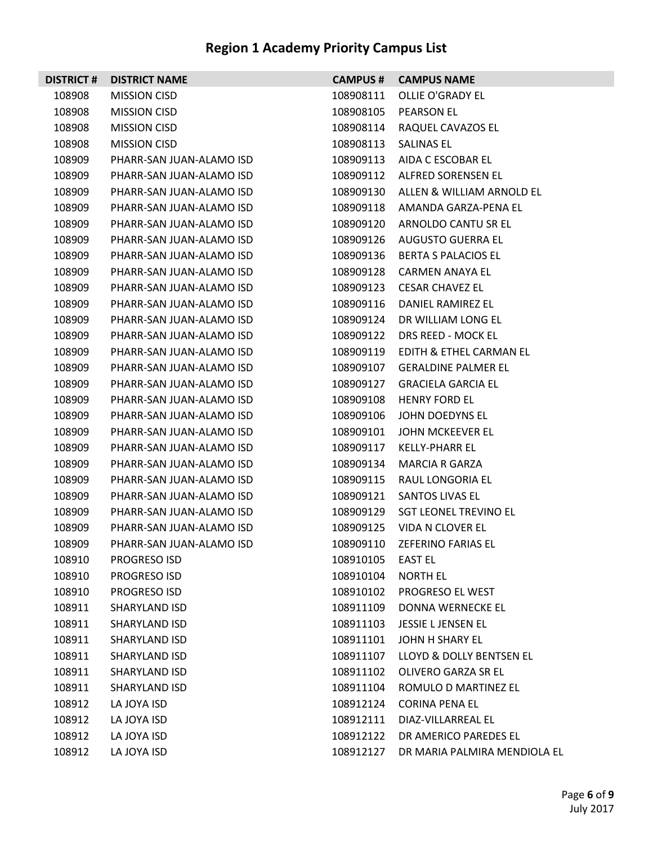| <b>DISTRICT#</b> | <b>DISTRICT NAME</b>     | <b>CAMPUS#</b> | <b>CAMPUS NAME</b>           |
|------------------|--------------------------|----------------|------------------------------|
| 108908           | <b>MISSION CISD</b>      | 108908111      | OLLIE O'GRADY EL             |
| 108908           | <b>MISSION CISD</b>      | 108908105      | <b>PEARSON EL</b>            |
| 108908           | <b>MISSION CISD</b>      | 108908114      | RAQUEL CAVAZOS EL            |
| 108908           | <b>MISSION CISD</b>      | 108908113      | SALINAS EL                   |
| 108909           | PHARR-SAN JUAN-ALAMO ISD | 108909113      | AIDA C ESCOBAR EL            |
| 108909           | PHARR-SAN JUAN-ALAMO ISD | 108909112      | ALFRED SORENSEN EL           |
| 108909           | PHARR-SAN JUAN-ALAMO ISD | 108909130      | ALLEN & WILLIAM ARNOLD EL    |
| 108909           | PHARR-SAN JUAN-ALAMO ISD | 108909118      | AMANDA GARZA-PENA EL         |
| 108909           | PHARR-SAN JUAN-ALAMO ISD | 108909120      | ARNOLDO CANTU SR EL          |
| 108909           | PHARR-SAN JUAN-ALAMO ISD | 108909126      | AUGUSTO GUERRA EL            |
| 108909           | PHARR-SAN JUAN-ALAMO ISD | 108909136      | BERTA S PALACIOS EL          |
| 108909           | PHARR-SAN JUAN-ALAMO ISD | 108909128      | CARMEN ANAYA EL              |
| 108909           | PHARR-SAN JUAN-ALAMO ISD | 108909123      | <b>CESAR CHAVEZ EL</b>       |
| 108909           | PHARR-SAN JUAN-ALAMO ISD | 108909116      | DANIEL RAMIREZ EL            |
| 108909           | PHARR-SAN JUAN-ALAMO ISD | 108909124      | DR WILLIAM LONG EL           |
| 108909           | PHARR-SAN JUAN-ALAMO ISD | 108909122      | DRS REED - MOCK EL           |
| 108909           | PHARR-SAN JUAN-ALAMO ISD | 108909119      | EDITH & ETHEL CARMAN EL      |
| 108909           | PHARR-SAN JUAN-ALAMO ISD | 108909107      | <b>GERALDINE PALMER EL</b>   |
| 108909           | PHARR-SAN JUAN-ALAMO ISD | 108909127      | <b>GRACIELA GARCIA EL</b>    |
| 108909           | PHARR-SAN JUAN-ALAMO ISD | 108909108      | <b>HENRY FORD EL</b>         |
| 108909           | PHARR-SAN JUAN-ALAMO ISD | 108909106      | JOHN DOEDYNS EL              |
| 108909           | PHARR-SAN JUAN-ALAMO ISD | 108909101      | JOHN MCKEEVER EL             |
| 108909           | PHARR-SAN JUAN-ALAMO ISD | 108909117      | <b>KELLY-PHARR EL</b>        |
| 108909           | PHARR-SAN JUAN-ALAMO ISD | 108909134      | MARCIA R GARZA               |
| 108909           | PHARR-SAN JUAN-ALAMO ISD | 108909115      | RAUL LONGORIA EL             |
| 108909           | PHARR-SAN JUAN-ALAMO ISD | 108909121      | SANTOS LIVAS EL              |
| 108909           | PHARR-SAN JUAN-ALAMO ISD | 108909129      | <b>SGT LEONEL TREVINO EL</b> |
| 108909           | PHARR-SAN JUAN-ALAMO ISD | 108909125      | VIDA N CLOVER EL             |
| 108909           | PHARR-SAN JUAN-ALAMO ISD | 108909110      | <b>ZEFERINO FARIAS EL</b>    |
| 108910           | PROGRESO ISD             | 108910105      | <b>EAST EL</b>               |
| 108910           | <b>PROGRESO ISD</b>      | 108910104      | <b>NORTH EL</b>              |
| 108910           | PROGRESO ISD             | 108910102      | PROGRESO EL WEST             |
| 108911           | SHARYLAND ISD            | 108911109      | DONNA WERNECKE EL            |
| 108911           | SHARYLAND ISD            | 108911103      | <b>JESSIE L JENSEN EL</b>    |
| 108911           | SHARYLAND ISD            | 108911101      | JOHN H SHARY EL              |
| 108911           | SHARYLAND ISD            | 108911107      | LLOYD & DOLLY BENTSEN EL     |
| 108911           | SHARYLAND ISD            | 108911102      | OLIVERO GARZA SR EL          |
| 108911           | SHARYLAND ISD            | 108911104      | ROMULO D MARTINEZ EL         |
| 108912           | LA JOYA ISD              | 108912124      | <b>CORINA PENA EL</b>        |
| 108912           | LA JOYA ISD              | 108912111      | DIAZ-VILLARREAL EL           |
| 108912           | LA JOYA ISD              | 108912122      | DR AMERICO PAREDES EL        |
| 108912           | LA JOYA ISD              | 108912127      | DR MARIA PALMIRA MENDIOLA EL |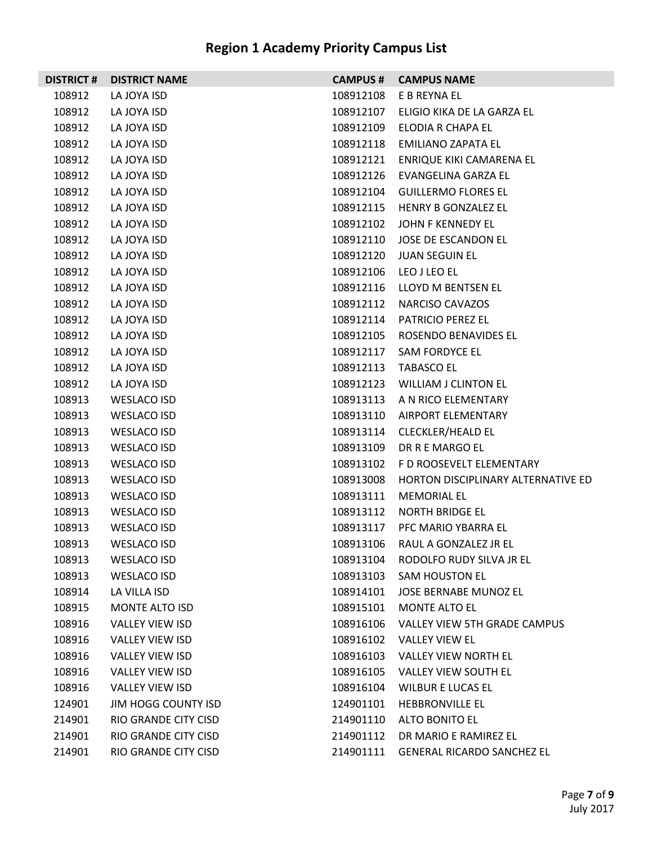|        | <b>DISTRICT # DISTRICT NAME</b> |           | <b>CAMPUS # CAMPUS NAME</b>            |
|--------|---------------------------------|-----------|----------------------------------------|
| 108912 | LA JOYA ISD                     | 108912108 | E B REYNA EL                           |
| 108912 | LA JOYA ISD                     | 108912107 | ELIGIO KIKA DE LA GARZA EL             |
| 108912 | LA JOYA ISD                     | 108912109 | ELODIA R CHAPA EL                      |
| 108912 | LA JOYA ISD                     |           | 108912118 EMILIANO ZAPATA EL           |
| 108912 | LA JOYA ISD                     | 108912121 | ENRIQUE KIKI CAMARENA EL               |
| 108912 | LA JOYA ISD                     |           | 108912126 EVANGELINA GARZA EL          |
| 108912 | LA JOYA ISD                     | 108912104 | <b>GUILLERMO FLORES EL</b>             |
| 108912 | LA JOYA ISD                     |           | 108912115 HENRY B GONZALEZ EL          |
| 108912 | LA JOYA ISD                     | 108912102 | JOHN F KENNEDY EL                      |
| 108912 | LA JOYA ISD                     |           | 108912110 JOSE DE ESCANDON EL          |
| 108912 | LA JOYA ISD                     | 108912120 | <b>JUAN SEGUIN EL</b>                  |
| 108912 | LA JOYA ISD                     |           | 108912106 LEO J LEO EL                 |
| 108912 | LA JOYA ISD                     | 108912116 | LLOYD M BENTSEN EL                     |
| 108912 | LA JOYA ISD                     | 108912112 | NARCISO CAVAZOS                        |
| 108912 | LA JOYA ISD                     | 108912114 | <b>PATRICIO PEREZ EL</b>               |
| 108912 | LA JOYA ISD                     |           | 108912105 ROSENDO BENAVIDES EL         |
| 108912 | LA JOYA ISD                     | 108912117 | SAM FORDYCE EL                         |
| 108912 | LA JOYA ISD                     |           | 108912113 TABASCO EL                   |
| 108912 | LA JOYA ISD                     |           | 108912123 WILLIAM J CLINTON EL         |
| 108913 | WESLACO ISD                     |           | 108913113 A N RICO ELEMENTARY          |
| 108913 | WESLACO ISD                     | 108913110 | AIRPORT ELEMENTARY                     |
| 108913 | WESLACO ISD                     | 108913114 | CLECKLER/HEALD EL                      |
| 108913 | WESLACO ISD                     | 108913109 | DR R E MARGO EL                        |
| 108913 | WESLACO ISD                     |           | 108913102 F D ROOSEVELT ELEMENTARY     |
| 108913 | WESLACO ISD                     | 108913008 | HORTON DISCIPLINARY ALTERNATIVE ED     |
| 108913 | WESLACO ISD                     | 108913111 | <b>MEMORIAL EL</b>                     |
| 108913 | WESLACO ISD                     | 108913112 | <b>NORTH BRIDGE EL</b>                 |
| 108913 | <b>WESLACO ISD</b>              |           | 108913117 PFC MARIO YBARRA EL          |
| 108913 | <b>WESLACO ISD</b>              | 108913106 | RAUL A GONZALEZ JR EL                  |
| 108913 | <b>WESLACO ISD</b>              |           | 108913104 RODOLFO RUDY SILVA JR EL     |
| 108913 | <b>WESLACO ISD</b>              | 108913103 | SAM HOUSTON EL                         |
| 108914 | LA VILLA ISD                    | 108914101 | JOSE BERNABE MUNOZ EL                  |
| 108915 | <b>MONTE ALTO ISD</b>           | 108915101 | <b>MONTE ALTO EL</b>                   |
| 108916 | VALLEY VIEW ISD                 |           | 108916106 VALLEY VIEW 5TH GRADE CAMPUS |
| 108916 | <b>VALLEY VIEW ISD</b>          | 108916102 | <b>VALLEY VIEW EL</b>                  |
| 108916 | VALLEY VIEW ISD                 |           | 108916103 VALLEY VIEW NORTH EL         |
| 108916 | VALLEY VIEW ISD                 |           | 108916105 VALLEY VIEW SOUTH EL         |
| 108916 | VALLEY VIEW ISD                 |           | 108916104 WILBUR E LUCAS EL            |
| 124901 | JIM HOGG COUNTY ISD             | 124901101 | <b>HEBBRONVILLE EL</b>                 |
| 214901 | RIO GRANDE CITY CISD            | 214901110 | ALTO BONITO EL                         |
| 214901 | RIO GRANDE CITY CISD            | 214901112 | DR MARIO E RAMIREZ EL                  |
| 214901 | RIO GRANDE CITY CISD            |           | 214901111 GENERAL RICARDO SANCHEZ EL   |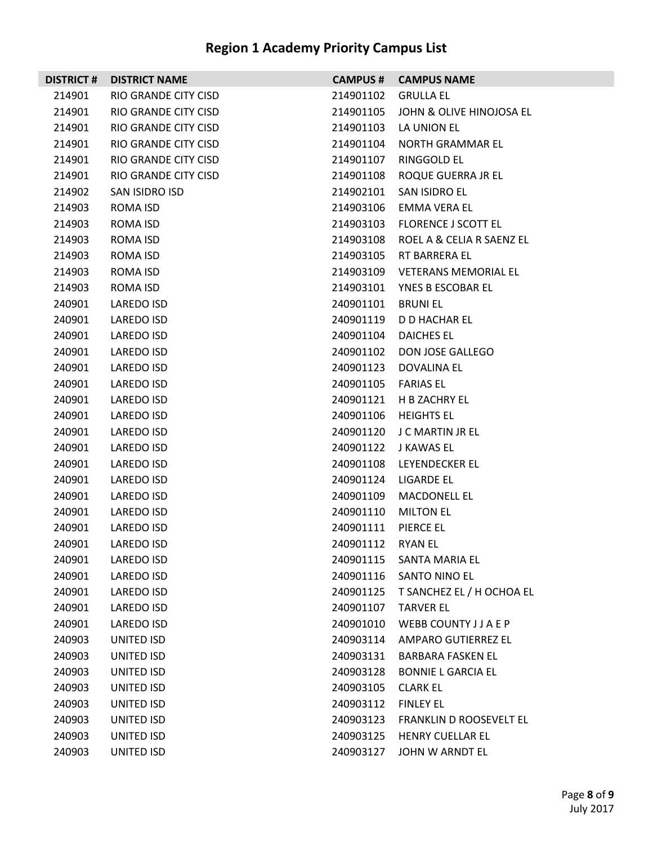| <b>DISTRICT#</b> | <b>DISTRICT NAME</b> | <b>CAMPUS #</b> | <b>CAMPUS NAME</b>          |
|------------------|----------------------|-----------------|-----------------------------|
| 214901           | RIO GRANDE CITY CISD | 214901102       | <b>GRULLA EL</b>            |
| 214901           | RIO GRANDE CITY CISD | 214901105       | JOHN & OLIVE HINOJOSA EL    |
| 214901           | RIO GRANDE CITY CISD | 214901103       | LA UNION EL                 |
| 214901           | RIO GRANDE CITY CISD | 214901104       | NORTH GRAMMAR EL            |
| 214901           | RIO GRANDE CITY CISD | 214901107       | RINGGOLD EL                 |
| 214901           | RIO GRANDE CITY CISD | 214901108       | ROQUE GUERRA JR EL          |
| 214902           | SAN ISIDRO ISD       | 214902101       | SAN ISIDRO EL               |
| 214903           | ROMA ISD             | 214903106       | EMMA VERA EL                |
| 214903           | ROMA ISD             | 214903103       | <b>FLORENCE J SCOTT EL</b>  |
| 214903           | ROMA ISD             | 214903108       | ROEL A & CELIA R SAENZ EL   |
| 214903           | ROMA ISD             | 214903105       | RT BARRERA EL               |
| 214903           | ROMA ISD             | 214903109       | <b>VETERANS MEMORIAL EL</b> |
| 214903           | ROMA ISD             | 214903101       | YNES B ESCOBAR EL           |
| 240901           | LAREDO ISD           | 240901101       | <b>BRUNIEL</b>              |
| 240901           | LAREDO ISD           | 240901119       | D D HACHAR EL               |
| 240901           | LAREDO ISD           | 240901104       | DAICHES EL                  |
| 240901           | LAREDO ISD           | 240901102       | DON JOSE GALLEGO            |
| 240901           | LAREDO ISD           | 240901123       | <b>DOVALINA EL</b>          |
| 240901           | LAREDO ISD           | 240901105       | <b>FARIAS EL</b>            |
| 240901           | LAREDO ISD           | 240901121       | H B ZACHRY EL               |
| 240901           | LAREDO ISD           | 240901106       | <b>HEIGHTS EL</b>           |
| 240901           | LAREDO ISD           | 240901120       | J C MARTIN JR EL            |
| 240901           | <b>LAREDO ISD</b>    | 240901122       | J KAWAS EL                  |
| 240901           | LAREDO ISD           | 240901108       | LEYENDECKER EL              |
| 240901           | LAREDO ISD           | 240901124       | LIGARDE EL                  |
| 240901           | LAREDO ISD           | 240901109       | <b>MACDONELL EL</b>         |
| 240901           | <b>LAREDO ISD</b>    | 240901110       | <b>MILTON EL</b>            |
| 240901           | LAREDO ISD           | 240901111       | PIERCE EL                   |
| 240901           | LAREDO ISD           | 240901112       | <b>RYAN EL</b>              |
| 240901           | LAREDO ISD           | 240901115       | SANTA MARIA EL              |
| 240901           | LAREDO ISD           | 240901116       | SANTO NINO EL               |
| 240901           | LAREDO ISD           | 240901125       | T SANCHEZ EL / H OCHOA EL   |
| 240901           | <b>LAREDO ISD</b>    | 240901107       | <b>TARVER EL</b>            |
| 240901           | LAREDO ISD           | 240901010       | WEBB COUNTY J J A E P       |
| 240903           | UNITED ISD           | 240903114       | AMPARO GUTIERREZ EL         |
| 240903           | UNITED ISD           | 240903131       | <b>BARBARA FASKEN EL</b>    |
| 240903           | UNITED ISD           | 240903128       | <b>BONNIE L GARCIA EL</b>   |
| 240903           | UNITED ISD           | 240903105       | <b>CLARK EL</b>             |
| 240903           | UNITED ISD           | 240903112       | <b>FINLEY EL</b>            |
| 240903           | UNITED ISD           | 240903123       | FRANKLIN D ROOSEVELT EL     |
| 240903           | UNITED ISD           | 240903125       | HENRY CUELLAR EL            |
| 240903           | UNITED ISD           | 240903127       | JOHN W ARNDT EL             |